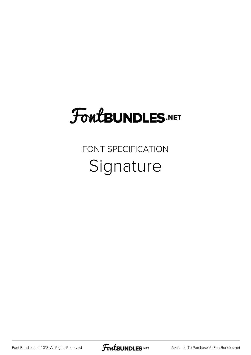## **FoutBUNDLES.NET**

### FONT SPECIFICATION Signature

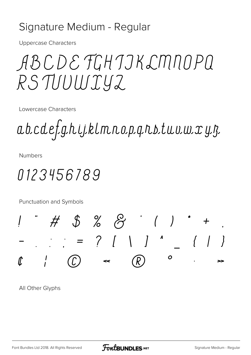#### Signature Medium - Regular

**Uppercase Characters** 

ABCDE TGH TJK LMNOPQ RSTUUWIYZ

Lowercase Characters

a b c d e f g h i j k l m n o p q n s t u v w x y z

**Numbers** 

## 0123456789

Punctuation and Symbols



All Other Glyphs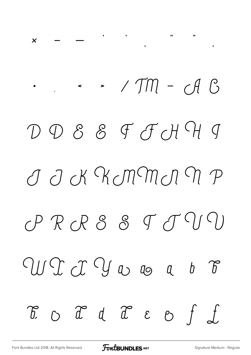# $\cdot$   $\cdot$   $\cdot$  / TM - AG DDSSFJHHJ J J K KMMJ M P  $CPRRBRSSTTTQ$ W T J W w a  $b$   $\delta$  $\begin{array}{cccccccccccccc} \mathcal{L} & \mathcal{L} & \mathcal{L} & \mathcal{L} & \mathcal{L} & \mathcal{L} & \mathcal{L} & \mathcal{L} & \mathcal{L} & \mathcal{L} & \mathcal{L} & \mathcal{L} & \mathcal{L} & \mathcal{L} & \mathcal{L} & \mathcal{L} & \mathcal{L} & \mathcal{L} & \mathcal{L} & \mathcal{L} & \mathcal{L} & \mathcal{L} & \mathcal{L} & \mathcal{L} & \mathcal{L} & \mathcal{L} & \mathcal{L} & \mathcal{L} & \mathcal{L} & \mathcal{L} &$

 $\begin{array}{ccc} \cdots & \cdots & \cdots \end{array}$ 

 $\boldsymbol{\mathsf{X}}$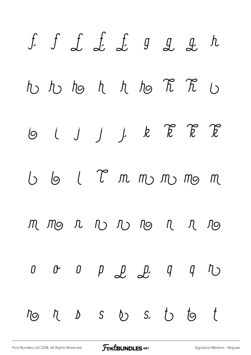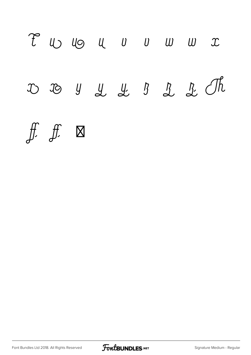

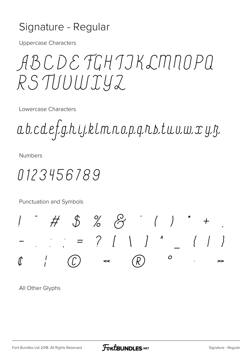#### Signature - Regular

**Uppercase Characters** 

ABCDE FGHJJKLMNOPQ RSTUUWIYZ

Lowercase Characters

abcdefghijklmnopqnstuvwxyz

**Numbers** 

## 0123456789

Punctuation and Symbols



All Other Glyphs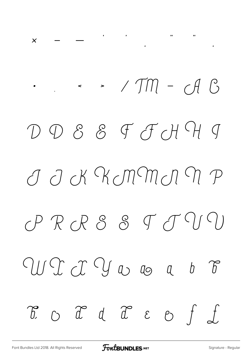# $\cdot$   $\cdot$   $\cdot$  / TM -  $\circ$  A  $\circ$ DDS&FJHJ J J K K MM J M P  $\mathcal{CP} \; \mathcal{R} \; \mathcal{C} \; \mathcal{S} \; \; \mathcal{S} \; \; \mathcal{T} \; \mathcal{T} \; \mathcal{U} \; \mathcal{U}$ W I I Y w o a  $b$   $\delta$  $\begin{array}{cccccccccc} \mathcal{L} & \mathcal{L} & \mathcal{L} & \mathcal{L} & \mathcal{L} & \mathcal{L} & \mathcal{L} & \mathcal{L} & \mathcal{L} & \mathcal{L} & \mathcal{L} & \mathcal{L} & \mathcal{L} & \mathcal{L} & \mathcal{L} & \mathcal{L} & \mathcal{L} & \mathcal{L} & \mathcal{L} & \mathcal{L} & \mathcal{L} & \mathcal{L} & \mathcal{L} & \mathcal{L} & \mathcal{L} & \mathcal{L} & \mathcal{L} & \mathcal{L} & \mathcal{L} & \mathcal{L} & \$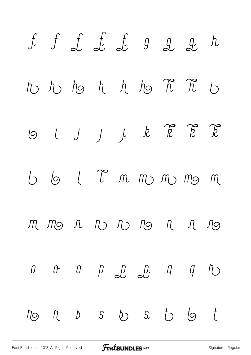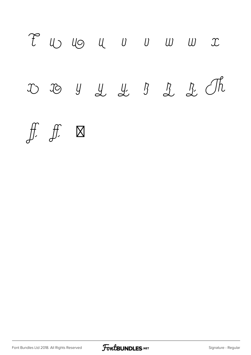

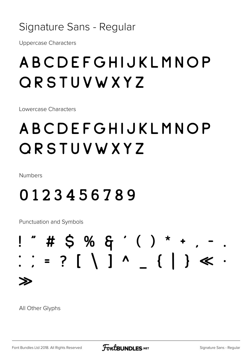#### Signature Sans - Regular

**Uppercase Characters** 

## ABCDEFGHIJKLMNOP ORSTUVWXYZ

Lowercase Characters

## ABCDEFGHIJKLMNOP ORSTUVWXYZ

Numbers

## 0123456789

Punctuation and Symbols

## $"$  # \$ % & '( ) \* + ,  $\frac{1}{2}$  = ? [ \ ] ^ { | } <  $\gg$

All Other Glyphs